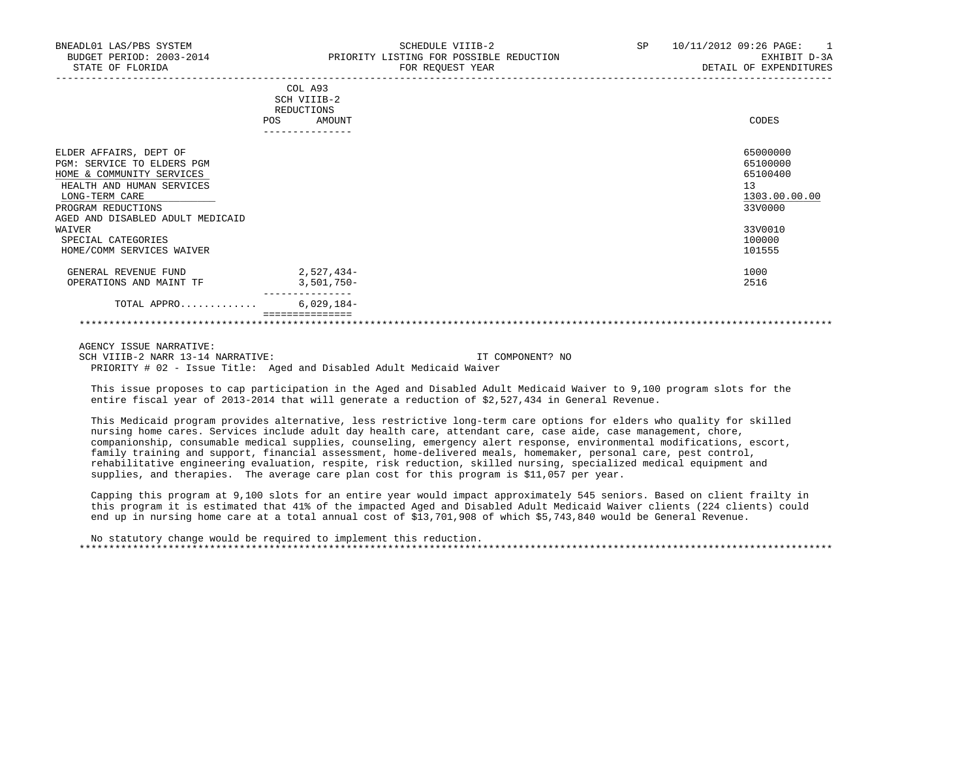|                                                                                                                                     | POS | COL A93<br>SCH VIIIB-2<br>REDUCTIONS<br>AMOUNT | CODES                                                   |
|-------------------------------------------------------------------------------------------------------------------------------------|-----|------------------------------------------------|---------------------------------------------------------|
|                                                                                                                                     |     |                                                |                                                         |
|                                                                                                                                     |     |                                                |                                                         |
| ELDER AFFAIRS, DEPT OF<br>SERVICE TO ELDERS PGM<br>PGM:<br>HOME & COMMUNITY SERVICES<br>HEALTH AND HUMAN SERVICES<br>LONG-TERM CARE |     |                                                | 65000000<br>65100000<br>65100400<br>13<br>1303.00.00.00 |
| PROGRAM REDUCTIONS                                                                                                                  |     |                                                | 33V0000                                                 |
| AGED AND DISABLED ADULT MEDICAID                                                                                                    |     |                                                |                                                         |
| WAIVER<br>SPECIAL CATEGORIES<br>HOME/COMM SERVICES WAIVER                                                                           |     |                                                | 33V0010<br>100000<br>101555                             |
| GENERAL REVENUE FUND<br>OPERATIONS AND MAINT TF                                                                                     |     | 2,527,434-<br>$3,501,750-$                     | 1000<br>2516                                            |
| TOTAL APPRO                                                                                                                         |     | $6,029,184-$                                   |                                                         |
|                                                                                                                                     |     |                                                |                                                         |

AGENCY ISSUE NARRATIVE:

SCH VIIIB-2 NARR 13-14 NARRATIVE: IT COMPONENT? NO PRIORITY # 02 - Issue Title: Aged and Disabled Adult Medicaid Waiver

 This issue proposes to cap participation in the Aged and Disabled Adult Medicaid Waiver to 9,100 program slots for the entire fiscal year of 2013-2014 that will generate a reduction of \$2,527,434 in General Revenue.

 This Medicaid program provides alternative, less restrictive long-term care options for elders who quality for skilled nursing home cares. Services include adult day health care, attendant care, case aide, case management, chore, companionship, consumable medical supplies, counseling, emergency alert response, environmental modifications, escort, family training and support, financial assessment, home-delivered meals, homemaker, personal care, pest control, rehabilitative engineering evaluation, respite, risk reduction, skilled nursing, specialized medical equipment and supplies, and therapies. The average care plan cost for this program is \$11,057 per year.

 Capping this program at 9,100 slots for an entire year would impact approximately 545 seniors. Based on client frailty in this program it is estimated that 41% of the impacted Aged and Disabled Adult Medicaid Waiver clients (224 clients) could end up in nursing home care at a total annual cost of \$13,701,908 of which \$5,743,840 would be General Revenue.

 No statutory change would be required to implement this reduction. \*\*\*\*\*\*\*\*\*\*\*\*\*\*\*\*\*\*\*\*\*\*\*\*\*\*\*\*\*\*\*\*\*\*\*\*\*\*\*\*\*\*\*\*\*\*\*\*\*\*\*\*\*\*\*\*\*\*\*\*\*\*\*\*\*\*\*\*\*\*\*\*\*\*\*\*\*\*\*\*\*\*\*\*\*\*\*\*\*\*\*\*\*\*\*\*\*\*\*\*\*\*\*\*\*\*\*\*\*\*\*\*\*\*\*\*\*\*\*\*\*\*\*\*\*\*\*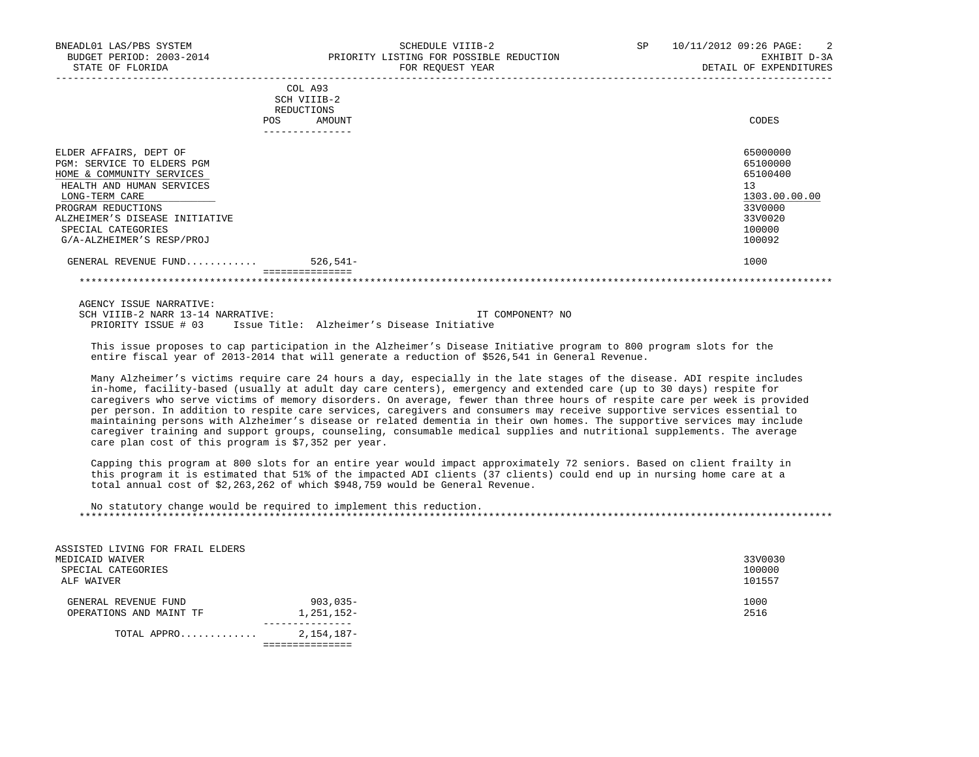| <b>POS</b>                     | REDUCTIONS<br>AMOUNT | CODES         |
|--------------------------------|----------------------|---------------|
|                                | ----------------     |               |
| ELDER AFFAIRS, DEPT OF         |                      | 65000000      |
| PGM: SERVICE TO ELDERS PGM     |                      | 65100000      |
| HOME & COMMUNITY SERVICES      |                      | 65100400      |
| HEALTH AND HUMAN SERVICES      |                      | 13            |
| LONG-TERM CARE                 |                      | 1303.00.00.00 |
| PROGRAM REDUCTIONS             |                      | 33V0000       |
| ALZHEIMER'S DISEASE INITIATIVE |                      | 33V0020       |
| SPECIAL CATEGORIES             |                      | 100000        |
| G/A-ALZHEIMER'S RESP/PROJ      |                      | 100092        |
| GENERAL REVENUE FUND           | $526,541-$           | 1000          |
|                                | ===============      |               |

\*\*\*\*\*\*\*\*\*\*\*\*\*\*\*\*\*\*\*\*\*\*\*\*\*\*\*\*\*\*\*\*\*\*\*\*\*\*\*\*\*\*\*\*\*\*\*\*\*\*\*\*\*\*\*\*\*\*\*\*\*\*\*\*\*\*\*\*\*\*\*\*\*\*\*\*\*\*\*\*\*\*\*\*\*\*\*\*\*\*\*\*\*\*\*\*\*\*\*\*\*\*\*\*\*\*\*\*\*\*\*\*\*\*\*\*\*\*\*\*\*\*\*\*\*\*\*

 AGENCY ISSUE NARRATIVE: SCH VIIIB-2 NARR 13-14 NARRATIVE: IT COMPONENT? NO PRIORITY ISSUE # 03 Issue Title: Alzheimer's Disease Initiative

 This issue proposes to cap participation in the Alzheimer's Disease Initiative program to 800 program slots for the entire fiscal year of 2013-2014 that will generate a reduction of \$526,541 in General Revenue.

 Many Alzheimer's victims require care 24 hours a day, especially in the late stages of the disease. ADI respite includes in-home, facility-based (usually at adult day care centers), emergency and extended care (up to 30 days) respite for caregivers who serve victims of memory disorders. On average, fewer than three hours of respite care per week is provided per person. In addition to respite care services, caregivers and consumers may receive supportive services essential to maintaining persons with Alzheimer's disease or related dementia in their own homes. The supportive services may include caregiver training and support groups, counseling, consumable medical supplies and nutritional supplements. The average care plan cost of this program is \$7,352 per year.

 Capping this program at 800 slots for an entire year would impact approximately 72 seniors. Based on client frailty in this program it is estimated that 51% of the impacted ADI clients (37 clients) could end up in nursing home care at a total annual cost of \$2,263,262 of which \$948,759 would be General Revenue.

 No statutory change would be required to implement this reduction. \*\*\*\*\*\*\*\*\*\*\*\*\*\*\*\*\*\*\*\*\*\*\*\*\*\*\*\*\*\*\*\*\*\*\*\*\*\*\*\*\*\*\*\*\*\*\*\*\*\*\*\*\*\*\*\*\*\*\*\*\*\*\*\*\*\*\*\*\*\*\*\*\*\*\*\*\*\*\*\*\*\*\*\*\*\*\*\*\*\*\*\*\*\*\*\*\*\*\*\*\*\*\*\*\*\*\*\*\*\*\*\*\*\*\*\*\*\*\*\*\*\*\*\*\*\*\*

| ASSISTED LIVING FOR FRAIL ELDERS<br>MEDICAID WAIVER<br>SPECIAL CATEGORIES<br>ALF WAIVER |                        | 33V0030<br>100000<br>101557 |
|-----------------------------------------------------------------------------------------|------------------------|-----------------------------|
| GENERAL REVENUE FUND<br>OPERATIONS AND MAINT TF                                         | 903,035-<br>1,251,152- | 1000<br>2516                |
| TOTAL APPRO                                                                             | 2,154,187-             |                             |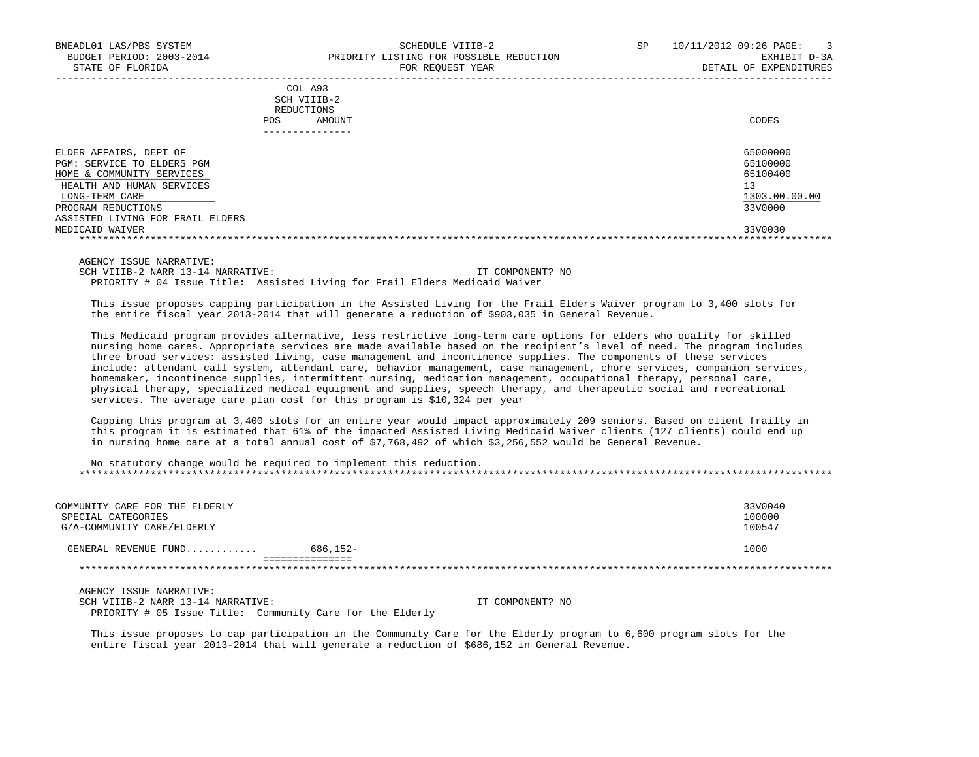|     | ---------------- |       |
|-----|------------------|-------|
| POS | AMOUNT           | CODES |
|     | REDUCTIONS       |       |
|     | SCH VIIIB-2      |       |
|     | COL A93          |       |

| ELDER AFFAIRS, DEPT OF           | 65000000      |
|----------------------------------|---------------|
| PGM: SERVICE TO ELDERS PGM       | 65100000      |
| HOME & COMMUNITY SERVICES        | 65100400      |
| HEALTH AND HUMAN SERVICES        |               |
| LONG-TERM CARE                   | 1303.00.00.00 |
| PROGRAM REDUCTIONS               | 33V0000       |
| ASSISTED LIVING FOR FRAIL ELDERS |               |
| MEDICAID WAIVER                  | 33V0030       |
|                                  |               |

-----------------------------------------------------------------------------------------------------------------------------------

AGENCY ISSUE NARRATIVE:

SCH VIIIB-2 NARR 13-14 NARRATIVE: IT COMPONENT? NO PRIORITY # 04 Issue Title: Assisted Living for Frail Elders Medicaid Waiver

 This issue proposes capping participation in the Assisted Living for the Frail Elders Waiver program to 3,400 slots for the entire fiscal year 2013-2014 that will generate a reduction of \$903,035 in General Revenue.

 This Medicaid program provides alternative, less restrictive long-term care options for elders who quality for skilled nursing home cares. Appropriate services are made available based on the recipient's level of need. The program includes three broad services: assisted living, case management and incontinence supplies. The components of these services include: attendant call system, attendant care, behavior management, case management, chore services, companion services, homemaker, incontinence supplies, intermittent nursing, medication management, occupational therapy, personal care, physical therapy, specialized medical equipment and supplies, speech therapy, and therapeutic social and recreational services. The average care plan cost for this program is \$10,324 per year

 Capping this program at 3,400 slots for an entire year would impact approximately 209 seniors. Based on client frailty in this program it is estimated that 61% of the impacted Assisted Living Medicaid Waiver clients (127 clients) could end up in nursing home care at a total annual cost of \$7,768,492 of which \$3,256,552 would be General Revenue.

 No statutory change would be required to implement this reduction. \*\*\*\*\*\*\*\*\*\*\*\*\*\*\*\*\*\*\*\*\*\*\*\*\*\*\*\*\*\*\*\*\*\*\*\*\*\*\*\*\*\*\*\*\*\*\*\*\*\*\*\*\*\*\*\*\*\*\*\*\*\*\*\*\*\*\*\*\*\*\*\*\*\*\*\*\*\*\*\*\*\*\*\*\*\*\*\*\*\*\*\*\*\*\*\*\*\*\*\*\*\*\*\*\*\*\*\*\*\*\*\*\*\*\*\*\*\*\*\*\*\*\*\*\*\*\*

| COMMUNITY CARE FOR THE ELDERLY<br>SPECIAL CATEGORIES<br>G/A-COMMUNITY CARE/ELDERLY |          | 33V0040<br>100000<br>100547 |
|------------------------------------------------------------------------------------|----------|-----------------------------|
| GENERAL REVENUE FUND                                                               | 686,152- | 1000                        |
|                                                                                    |          |                             |
| AGENCY ISSUE NARRATIVE:                                                            |          |                             |

SCH VIIIB-2 NARR 13-14 NARRATIVE: IT COMPONENT? NO PRIORITY # 05 Issue Title: Community Care for the Elderly

 This issue proposes to cap participation in the Community Care for the Elderly program to 6,600 program slots for the entire fiscal year 2013-2014 that will generate a reduction of \$686,152 in General Revenue.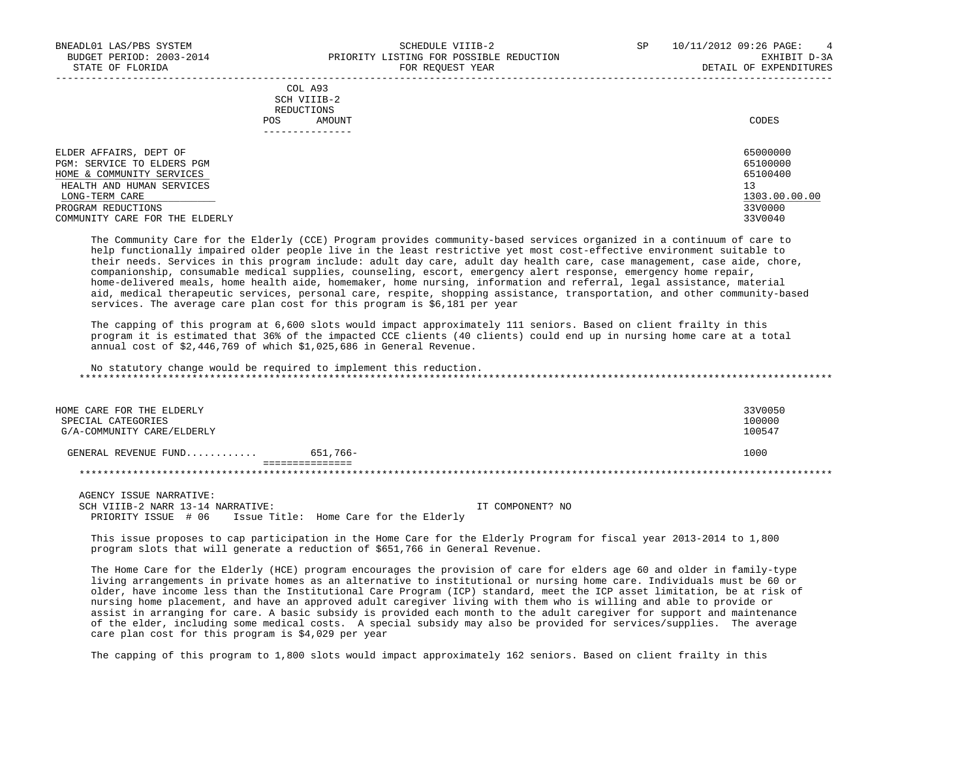|            | _______________ |       |
|------------|-----------------|-------|
| POS        | AMOUNT          | CODES |
| REDUCTIONS |                 |       |
|            | SCH VIIIB-2     |       |
|            | COL A93         |       |

| ELDER AFFAIRS, DEPT OF         | 65000000      |
|--------------------------------|---------------|
| PGM: SERVICE TO ELDERS PGM     | 65100000      |
| HOME & COMMUNITY SERVICES      | 65100400      |
| HEALTH AND HUMAN SERVICES      | 13            |
| LONG-TERM CARE                 | 1303.00.00.00 |
| PROGRAM REDUCTIONS             | 33V0000       |
| COMMUNITY CARE FOR THE ELDERLY | 33V0040       |

-----------------------------------------------------------------------------------------------------------------------------------

 The Community Care for the Elderly (CCE) Program provides community-based services organized in a continuum of care to help functionally impaired older people live in the least restrictive yet most cost-effective environment suitable to their needs. Services in this program include: adult day care, adult day health care, case management, case aide, chore, companionship, consumable medical supplies, counseling, escort, emergency alert response, emergency home repair, home-delivered meals, home health aide, homemaker, home nursing, information and referral, legal assistance, material aid, medical therapeutic services, personal care, respite, shopping assistance, transportation, and other community-based services. The average care plan cost for this program is \$6,181 per year

 The capping of this program at 6,600 slots would impact approximately 111 seniors. Based on client frailty in this program it is estimated that 36% of the impacted CCE clients (40 clients) could end up in nursing home care at a total annual cost of \$2,446,769 of which \$1,025,686 in General Revenue.

 No statutory change would be required to implement this reduction. \*\*\*\*\*\*\*\*\*\*\*\*\*\*\*\*\*\*\*\*\*\*\*\*\*\*\*\*\*\*\*\*\*\*\*\*\*\*\*\*\*\*\*\*\*\*\*\*\*\*\*\*\*\*\*\*\*\*\*\*\*\*\*\*\*\*\*\*\*\*\*\*\*\*\*\*\*\*\*\*\*\*\*\*\*\*\*\*\*\*\*\*\*\*\*\*\*\*\*\*\*\*\*\*\*\*\*\*\*\*\*\*\*\*\*\*\*\*\*\*\*\*\*\*\*\*\*

| HOME CARE FOR THE ELDERLY<br>SPECIAL CATEGORIES<br>G/A-COMMUNITY CARE/ELDERLY |          | 33V0050<br>100000<br>100547 |
|-------------------------------------------------------------------------------|----------|-----------------------------|
| GENERAL REVENUE FUND                                                          | 651,766- | 1000                        |

\*\*\*\*\*\*\*\*\*\*\*\*\*\*\*\*\*\*\*\*\*\*\*\*\*\*\*\*\*\*\*\*\*\*\*\*\*\*\*\*\*\*\*\*\*\*\*\*\*\*\*\*\*\*\*\*\*\*\*\*\*\*\*\*\*\*\*\*\*\*\*\*\*\*\*\*\*\*\*\*\*\*\*\*\*\*\*\*\*\*\*\*\*\*\*\*\*\*\*\*\*\*\*\*\*\*\*\*\*\*\*\*\*\*\*\*\*\*\*\*\*\*\*\*\*\*\*

 AGENCY ISSUE NARRATIVE: SCH VIIIB-2 NARR 13-14 NARRATIVE: IT COMPONENT? NO PRIORITY ISSUE # 06 Issue Title: Home Care for the Elderly

 This issue proposes to cap participation in the Home Care for the Elderly Program for fiscal year 2013-2014 to 1,800 program slots that will generate a reduction of \$651,766 in General Revenue.

 The Home Care for the Elderly (HCE) program encourages the provision of care for elders age 60 and older in family-type living arrangements in private homes as an alternative to institutional or nursing home care. Individuals must be 60 or older, have income less than the Institutional Care Program (ICP) standard, meet the ICP asset limitation, be at risk of nursing home placement, and have an approved adult caregiver living with them who is willing and able to provide or assist in arranging for care. A basic subsidy is provided each month to the adult caregiver for support and maintenance of the elder, including some medical costs. A special subsidy may also be provided for services/supplies. The average care plan cost for this program is \$4,029 per year

The capping of this program to 1,800 slots would impact approximately 162 seniors. Based on client frailty in this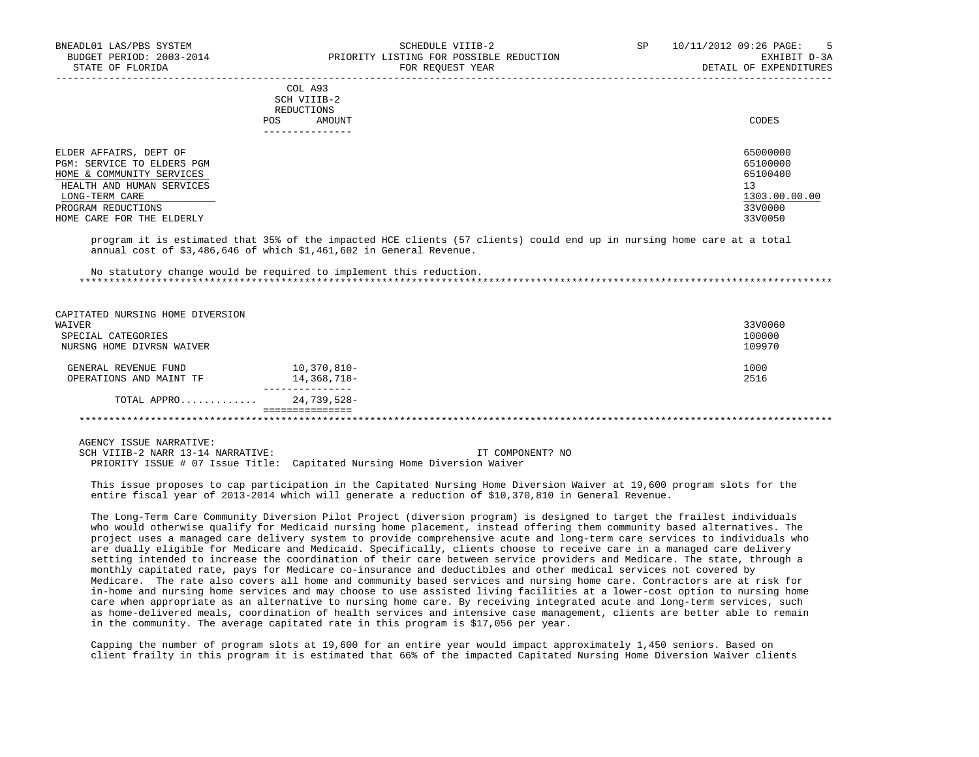|                            | <b>POS</b> | COL A93<br>SCH VIIIB-2<br>REDUCTIONS<br>AMOUNT | CODES         |
|----------------------------|------------|------------------------------------------------|---------------|
|                            |            |                                                |               |
| ELDER AFFAIRS, DEPT OF     |            |                                                | 65000000      |
| PGM: SERVICE TO ELDERS PGM |            |                                                | 65100000      |
| HOME & COMMUNITY SERVICES  |            |                                                | 65100400      |
| HEALTH AND HUMAN SERVICES  |            |                                                | 13            |
| LONG-TERM CARE             |            |                                                | 1303.00.00.00 |
| PROGRAM REDUCTIONS         |            |                                                | 33V0000       |
| HOME CARE FOR THE ELDERLY  |            |                                                | 33V0050       |

 program it is estimated that 35% of the impacted HCE clients (57 clients) could end up in nursing home care at a total annual cost of \$3,486,646 of which \$1,461,602 in General Revenue.

 No statutory change would be required to implement this reduction. \*\*\*\*\*\*\*\*\*\*\*\*\*\*\*\*\*\*\*\*\*\*\*\*\*\*\*\*\*\*\*\*\*\*\*\*\*\*\*\*\*\*\*\*\*\*\*\*\*\*\*\*\*\*\*\*\*\*\*\*\*\*\*\*\*\*\*\*\*\*\*\*\*\*\*\*\*\*\*\*\*\*\*\*\*\*\*\*\*\*\*\*\*\*\*\*\*\*\*\*\*\*\*\*\*\*\*\*\*\*\*\*\*\*\*\*\*\*\*\*\*\*\*\*\*\*\*

| CAPITATED NURSING HOME DIVERSION |             |         |
|----------------------------------|-------------|---------|
| WAIVER                           |             | 33V0060 |
| SPECIAL CATEGORIES               |             | 100000  |
| NURSNG HOME DIVRSN WAIVER        |             | 109970  |
| GENERAL REVENUE FUND             | 10,370,810- | 1000    |
| OPERATIONS AND MAINT TF          | 14,368,718- | 2516    |
| TOTAL APPRO                      | 24,739,528- |         |
|                                  |             |         |

AGENCY ISSUE NARRATIVE:

SCH VIIIB-2 NARR 13-14 NARRATIVE: IT COMPONENT? NO PRIORITY ISSUE # 07 Issue Title: Capitated Nursing Home Diversion Waiver

 This issue proposes to cap participation in the Capitated Nursing Home Diversion Waiver at 19,600 program slots for the entire fiscal year of 2013-2014 which will generate a reduction of \$10,370,810 in General Revenue.

 The Long-Term Care Community Diversion Pilot Project (diversion program) is designed to target the frailest individuals who would otherwise qualify for Medicaid nursing home placement, instead offering them community based alternatives. The project uses a managed care delivery system to provide comprehensive acute and long-term care services to individuals who are dually eligible for Medicare and Medicaid. Specifically, clients choose to receive care in a managed care delivery setting intended to increase the coordination of their care between service providers and Medicare. The state, through a monthly capitated rate, pays for Medicare co-insurance and deductibles and other medical services not covered by Medicare. The rate also covers all home and community based services and nursing home care. Contractors are at risk for in-home and nursing home services and may choose to use assisted living facilities at a lower-cost option to nursing home care when appropriate as an alternative to nursing home care. By receiving integrated acute and long-term services, such as home-delivered meals, coordination of health services and intensive case management, clients are better able to remain in the community. The average capitated rate in this program is \$17,056 per year.

 Capping the number of program slots at 19,600 for an entire year would impact approximately 1,450 seniors. Based on client frailty in this program it is estimated that 66% of the impacted Capitated Nursing Home Diversion Waiver clients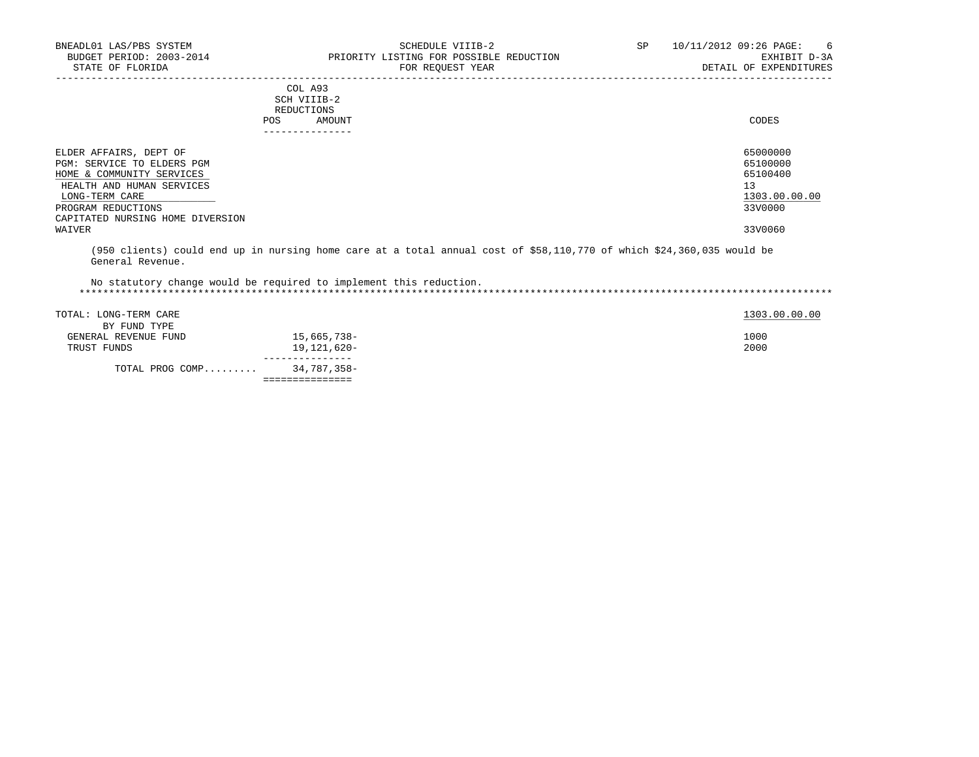===============

| -------------                                           |                      |
|---------------------------------------------------------|----------------------|
| ELDER AFFAIRS, DEPT OF                                  | 65000000             |
| PGM: SERVICE TO ELDERS PGM<br>HOME & COMMUNITY SERVICES | 65100000<br>65100400 |
| HEALTH AND HUMAN SERVICES                               | 13                   |
| LONG-TERM CARE                                          | 1303.00.00.00        |
| PROGRAM REDUCTIONS                                      | 33V0000              |
| CAPITATED NURSING HOME DIVERSION<br>WAIVER              | 33V0060              |

-----------------------------------------------------------------------------------------------------------------------------------

 (950 clients) could end up in nursing home care at a total annual cost of \$58,110,770 of which \$24,360,035 would be General Revenue.

 No statutory change would be required to implement this reduction. \*\*\*\*\*\*\*\*\*\*\*\*\*\*\*\*\*\*\*\*\*\*\*\*\*\*\*\*\*\*\*\*\*\*\*\*\*\*\*\*\*\*\*\*\*\*\*\*\*\*\*\*\*\*\*\*\*\*\*\*\*\*\*\*\*\*\*\*\*\*\*\*\*\*\*\*\*\*\*\*\*\*\*\*\*\*\*\*\*\*\*\*\*\*\*\*\*\*\*\*\*\*\*\*\*\*\*\*\*\*\*\*\*\*\*\*\*\*\*\*\*\*\*\*\*\*\*

| TOTAL: LONG-TERM CARE |             | 1303.00.00.00 |
|-----------------------|-------------|---------------|
| BY FUND TYPE          |             |               |
| GENERAL REVENUE FUND  | 15,665,738- | 1000          |
| TRUST FUNDS           | 19,121,620- | 2000          |
| TOTAL PROG COMP       | 34,787,358- |               |